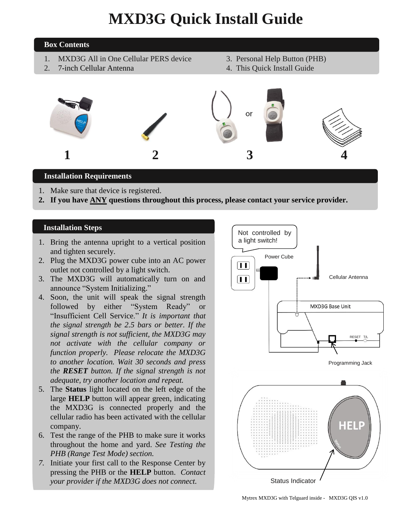# **MXD3G Quick Install Guide**

# **Box Contents**

- 1. MXD3G All in One Cellular PERS device 3. Personal Help Button (PHB)
- 2. 7-inch Cellular Antenna 4. This Quick Install Guide
- 
- 



# **Installation Requirements**

- 1. Make sure that device is registered.
- **2. If you have ANY questions throughout this process, please contact your service provider.**

# **Installation Steps**

- 1. Bring the antenna upright to a vertical position and tighten securely.
- 2. Plug the MXD3G power cube into an AC power outlet not controlled by a light switch.
- 3. The MXD3G will automatically turn on and announce "System Initializing."
- 4. Soon, the unit will speak the signal strength followed by either "System Ready" or "Insufficient Cell Service." *It is important that the signal strength be 2.5 bars or better. If the signal strength is not sufficient, the MXD3G may not activate with the cellular company or function properly. Please relocate the MXD3G to another location. Wait 30 seconds and press the RESET button. If the signal strength is not adequate, try another location and repeat.*
- 5. The **Status** light located on the left edge of the large **HELP** button will appear green, indicating the MXD3G is connected properly and the cellular radio has been activated with the cellular company.
- 6. Test the range of the PHB to make sure it works throughout the home and yard. *See Testing the PHB (Range Test Mode) section.*
- *7.* Initiate your first call to the Response Center by pressing the PHB or the **HELP** button. *Contact your provider if the MXD3G does not connect.*